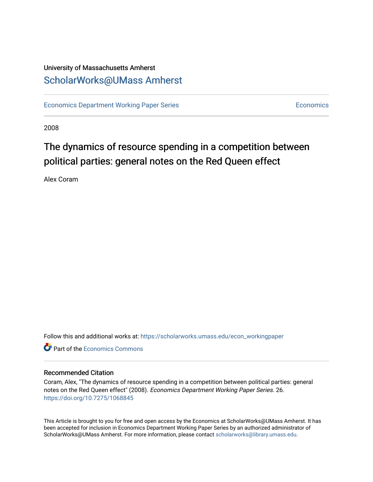### University of Massachusetts Amherst [ScholarWorks@UMass Amherst](https://scholarworks.umass.edu/)

[Economics Department Working Paper Series](https://scholarworks.umass.edu/econ_workingpaper) **Economics** [Economics](https://scholarworks.umass.edu/economics) Economics

2008

## The dynamics of resource spending in a competition between political parties: general notes on the Red Queen effect

Alex Coram

Follow this and additional works at: [https://scholarworks.umass.edu/econ\\_workingpaper](https://scholarworks.umass.edu/econ_workingpaper?utm_source=scholarworks.umass.edu%2Fecon_workingpaper%2F26&utm_medium=PDF&utm_campaign=PDFCoverPages) 

**C** Part of the [Economics Commons](http://network.bepress.com/hgg/discipline/340?utm_source=scholarworks.umass.edu%2Fecon_workingpaper%2F26&utm_medium=PDF&utm_campaign=PDFCoverPages)

#### Recommended Citation

Coram, Alex, "The dynamics of resource spending in a competition between political parties: general notes on the Red Queen effect" (2008). Economics Department Working Paper Series. 26. <https://doi.org/10.7275/1068845>

This Article is brought to you for free and open access by the Economics at ScholarWorks@UMass Amherst. It has been accepted for inclusion in Economics Department Working Paper Series by an authorized administrator of ScholarWorks@UMass Amherst. For more information, please contact [scholarworks@library.umass.edu.](mailto:scholarworks@library.umass.edu)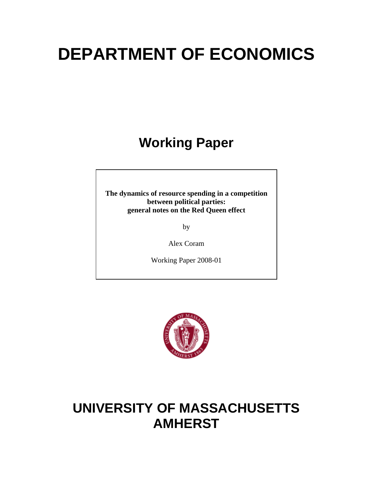# **DEPARTMENT OF ECONOMICS**

## **Working Paper**

**The dynamics of resource spending in a competition between political parties: general notes on the Red Queen effect** 

by

Alex Coram

Working Paper 2008-01



## **UNIVERSITY OF MASSACHUSETTS AMHERST**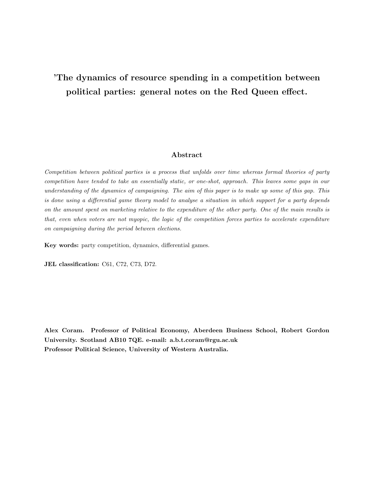### 'The dynamics of resource spending in a competition between political parties: general notes on the Red Queen effect.

#### Abstract

Competition between political parties is a process that unfolds over time whereas formal theories of party competition have tended to take an essentially static, or one-shot, approach. This leaves some gaps in our understanding of the dynamics of campaigning. The aim of this paper is to make up some of this gap. This is done using a differential game theory model to analyse a situation in which support for a party depends on the amount spent on marketing relative to the expenditure of the other party. One of the main results is that, even when voters are not myopic, the logic of the competition forces parties to accelerate expenditure on campaigning during the period between elections.

Key words: party competition, dynamics, differential games.

JEL classification: C61, C72, C73, D72.

Alex Coram. Professor of Political Economy, Aberdeen Business School, Robert Gordon University. Scotland AB10 7QE. e-mail: a.b.t.coram@rgu.ac.uk Professor Political Science, University of Western Australia.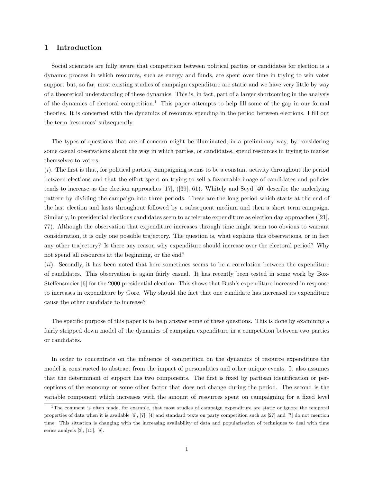#### 1 Introduction

Social scientists are fully aware that competition between political parties or candidates for election is a dynamic process in which resources, such as energy and funds, are spent over time in trying to win voter support but, so far, most existing studies of campaign expenditure are static and we have very little by way of a theoretical understanding of these dynamics. This is, in fact, part of a larger shortcoming in the analysis of the dynamics of electoral competition.<sup>1</sup> This paper attempts to help fill some of the gap in our formal theories. It is concerned with the dynamics of resources spending in the period between elections. I fill out the term 'resources' subsequently.

The types of questions that are of concern might be illuminated, in a preliminary way, by considering some casual observations about the way in which parties, or candidates, spend resources in trying to market themselves to voters.

 $(i)$ . The first is that, for political parties, campaigning seems to be a constant activity throughout the period between elections and that the effort spent on trying to sell a favourable image of candidates and policies tends to increase as the election approaches [17], ([39], 61). Whitely and Seyd [40] describe the underlying pattern by dividing the campaign into three periods. These are the long period which starts at the end of the last election and lasts throughout followed by a subsequent medium and then a short term campaign. Similarly, in presidential elections candidates seem to accelerate expenditure as election day approaches ([21], 77). Although the observation that expenditure increases through time might seem too obvious to warrant consideration, it is only one possible trajectory. The question is, what explains this observations, or in fact any other trajectory? Is there any reason why expenditure should increase over the electoral period? Why not spend all resources at the beginning, or the end?

(ii). Secondly, it has been noted that here sometimes seems to be a correlation between the expenditure of candidates. This observation is again fairly casual. It has recently been tested in some work by Box-Steffensmeier [6] for the 2000 presidential election. This shows that Bush's expenditure increased in response to increases in expenditure by Gore. Why should the fact that one candidate has increased its expenditure cause the other candidate to increase?

The specific purpose of this paper is to help answer some of these questions. This is done by examining a fairly stripped down model of the dynamics of campaign expenditure in a competition between two parties or candidates.

In order to concentrate on the influence of competition on the dynamics of resource expenditure the model is constructed to abstract from the impact of personalities and other unique events. It also assumes that the determinant of support has two components. The first is fixed by partisan identification or perceptions of the economy or some other factor that does not change during the period. The second is the variable component which increases with the amount of resources spent on campaigning for a fixed level

<sup>&</sup>lt;sup>1</sup>The comment is often made, for example, that most studies of campaign expenditure are static or ignore the temporal properties of data when it is available [6], [7], [4] and standard texts on party competition such as [27] and [?] do not mention time. This situation is changing with the increasing availability of data and popularisation of techniques to deal with time series analysis [3], [15], [8].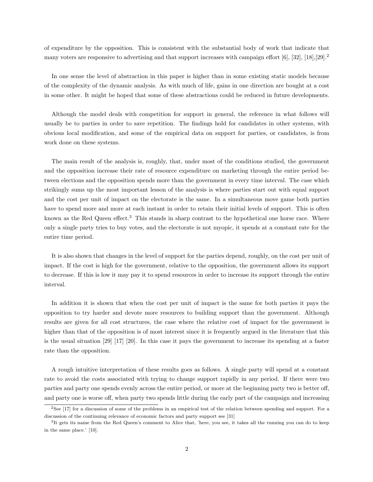of expenditure by the opposition. This is consistent with the substantial body of work that indicate that many voters are responsive to advertising and that support increases with campaign effort  $[6]$ ,  $[32]$ ,  $[18]$ , $[29]$ .<sup>2</sup>

In one sense the level of abstraction in this paper is higher than in some existing static models because of the complexity of the dynamic analysis. As with much of life, gains in one direction are bought at a cost in some other. It might be hoped that some of these abstractions could be reduced in future developments.

Although the model deals with competition for support in general, the reference in what follows will usually be to parties in order to save repetition. The findings hold for candidates in other systems, with obvious local modification, and some of the empirical data on support for parties, or candidates, is from work done on these systems.

The main result of the analysis is, roughly, that, under most of the conditions studied, the government and the opposition increase their rate of resource expenditure on marketing through the entire period between elections and the opposition spends more than the government in every time interval. The case which strikingly sums up the most important lesson of the analysis is where parties start out with equal support and the cost per unit of impact on the electorate is the same. In a simultaneous move game both parties have to spend more and more at each instant in order to retain their initial levels of support. This is often known as the Red Queen effect.<sup>3</sup> This stands in sharp contrast to the hypothetical one horse race. Where only a single party tries to buy votes, and the electorate is not myopic, it spends at a constant rate for the entire time period.

It is also shown that changes in the level of support for the parties depend, roughly, on the cost per unit of impact. If the cost is high for the government, relative to the opposition, the government allows its support to decrease. If this is low it may pay it to spend resources in order to increase its support through the entire interval.

In addition it is shown that when the cost per unit of impact is the same for both parties it pays the opposition to try harder and devote more resources to building support than the government. Although results are given for all cost structures, the case where the relative cost of impact for the government is higher than that of the opposition is of most interest since it is frequently argued in the literature that this is the usual situation [29] [17] [20]. In this case it pays the government to increase its spending at a faster rate than the opposition.

A rough intuitive interpretation of these results goes as follows. A single party will spend at a constant rate to avoid the costs associated with trying to change support rapidly in any period. If there were two parties and party one spends evenly across the entire period, or more at the beginning party two is better off, and party one is worse off, when party two spends little during the early part of the campaign and increasing

<sup>2</sup>See [17] for a discussion of some of the problems in an empirical test of the relation between spending and support. For a discussion of the continuing relevance of economic factors and party support see [31]

<sup>&</sup>lt;sup>3</sup>It gets its name from the Red Queen's comment to Alice that, 'here, you see, it takes all the running you can do to keep in the same place.' [10].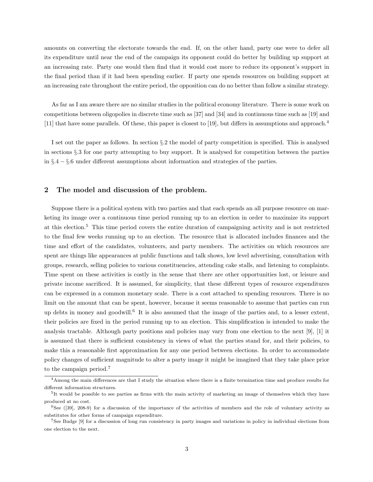amounts on converting the electorate towards the end. If, on the other hand, party one were to defer all its expenditure until near the end of the campaign its opponent could do better by building up support at an increasing rate. Party one would then find that it would cost more to reduce its opponent's support in the final period than if it had been spending earlier. If party one spends resources on building support at an increasing rate throughout the entire period, the opposition can do no better than follow a similar strategy.

As far as I am aware there are no similar studies in the political economy literature. There is some work on competitions between oligopolies in discrete time such as [37] and [34] and in continuous time such as [19] and [11] that have some parallels. Of these, this paper is closest to [19], but differs in assumptions and approach.<sup>4</sup>

I set out the paper as follows. In section §.2 the model of party competition is specified. This is analysed in sections §.3 for one party attempting to buy support. It is analysed for competition between the parties in §.4 − §.6 under different assumptions about information and strategies of the parties.

#### 2 The model and discussion of the problem.

Suppose there is a political system with two parties and that each spends an all purpose resource on marketing its image over a continuous time period running up to an election in order to maximize its support at this election.<sup>5</sup> This time period covers the entire duration of campaigning activity and is not restricted to the final few weeks running up to an election. The resource that is allocated includes finances and the time and effort of the candidates, volunteers, and party members. The activities on which resources are spent are things like appearances at public functions and talk shows, low level advertising, consultation with groups, research, selling policies to various constituencies, attending cake stalls, and listening to complaints. Time spent on these activities is costly in the sense that there are other opportunities lost, or leisure and private income sacrificed. It is assumed, for simplicity, that these different types of resource expenditures can be expressed in a common monetary scale. There is a cost attached to spending resources. There is no limit on the amount that can be spent, however, because it seems reasonable to assume that parties can run up debts in money and goodwill.<sup>6</sup> It is also assumed that the image of the parties and, to a lesser extent, their policies are fixed in the period running up to an election. This simplification is intended to make the analysis tractable. Although party positions and policies may vary from one election to the next [9], [1] it is assumed that there is sufficient consistency in views of what the parties stand for, and their policies, to make this a reasonable first approximation for any one period between elections. In order to accommodate policy changes of sufficient magnitude to alter a party image it might be imagined that they take place prior to the campaign period.<sup>7</sup>

<sup>4</sup>Among the main differences are that I study the situation where there is a finite termination time and produce results for different information structures.

<sup>&</sup>lt;sup>5</sup>It would be possible to see parties as firms with the main activity of marketing an image of themselves which they have produced at no cost.

 $6$ See ([39], 208-9) for a discussion of the importance of the activities of members and the role of voluntary activity as substitutes for other forms of campaign expenditure.

<sup>7</sup>See Budge [9] for a discussion of long run consistency in party images and variations in policy in individual elections from one election to the next.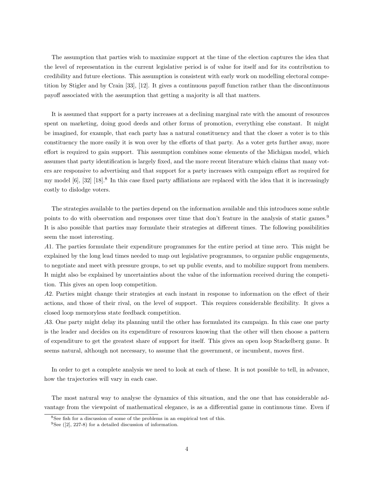The assumption that parties wish to maximize support at the time of the election captures the idea that the level of representation in the current legislative period is of value for itself and for its contribution to credibility and future elections. This assumption is consistent with early work on modelling electoral competition by Stigler and by Crain [33], [12]. It gives a continuous payoff function rather than the discontinuous payoff associated with the assumption that getting a majority is all that matters.

It is assumed that support for a party increases at a declining marginal rate with the amount of resources spent on marketing, doing good deeds and other forms of promotion, everything else constant. It might be imagined, for example, that each party has a natural constituency and that the closer a voter is to this constituency the more easily it is won over by the efforts of that party. As a voter gets further away, more effort is required to gain support. This assumption combines some elements of the Michigan model, which assumes that party identification is largely fixed, and the more recent literature which claims that many voters are responsive to advertising and that support for a party increases with campaign effort as required for my model [6], [32] [18].<sup>8</sup> In this case fixed party affiliations are replaced with the idea that it is increasingly costly to dislodge voters.

The strategies available to the parties depend on the information available and this introduces some subtle points to do with observation and responses over time that don't feature in the analysis of static games.<sup>9</sup> It is also possible that parties may formulate their strategies at different times. The following possibilities seem the most interesting.

A1. The parties formulate their expenditure programmes for the entire period at time zero. This might be explained by the long lead times needed to map out legislative programmes, to organize public engagements, to negotiate and meet with pressure groups, to set up public events, and to mobilize support from members. It might also be explained by uncertainties about the value of the information received during the competition. This gives an open loop competition.

A2. Parties might change their strategies at each instant in response to information on the effect of their actions, and those of their rival, on the level of support. This requires considerable flexibility. It gives a closed loop memoryless state feedback competition.

A3. One party might delay its planning until the other has formulated its campaign. In this case one party is the leader and decides on its expenditure of resources knowing that the other will then choose a pattern of expenditure to get the greatest share of support for itself. This gives an open loop Stackelberg game. It seems natural, although not necessary, to assume that the government, or incumbent, moves first.

In order to get a complete analysis we need to look at each of these. It is not possible to tell, in advance, how the trajectories will vary in each case.

The most natural way to analyse the dynamics of this situation, and the one that has considerable advantage from the viewpoint of mathematical elegance, is as a differential game in continuous time. Even if

<sup>8</sup>See fish for a discussion of some of the problems in an empirical test of this.

 ${}^{9}$ See ([2], 227-8) for a detailed discussion of information.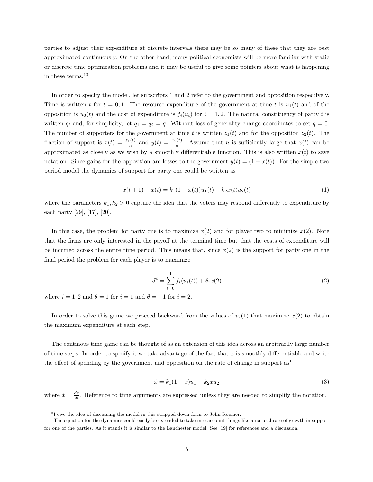parties to adjust their expenditure at discrete intervals there may be so many of these that they are best approximated continuously. On the other hand, many political economists will be more familiar with static or discrete time optimization problems and it may be useful to give some pointers about what is happening in these terms.<sup>10</sup>

In order to specify the model, let subscripts 1 and 2 refer to the government and opposition respectively. Time is written t for  $t = 0, 1$ . The resource expenditure of the government at time t is  $u_1(t)$  and of the opposition is  $u_2(t)$  and the cost of expenditure is  $f_i(u_i)$  for  $i = 1, 2$ . The natural constituency of party i is written  $q_i$  and, for simplicity, let  $q_1 = q_2 = q$ . Without loss of generality change coordinates to set  $q = 0$ . The number of supporters for the government at time t is written  $z_1(t)$  and for the opposition  $z_2(t)$ . The fraction of support is  $x(t) = \frac{z_1(t)}{n}$  and  $y(t) = \frac{z_2(t)}{n}$ . Assume that *n* is sufficiently large that  $x(t)$  can be approximated as closely as we wish by a smoothly differentiable function. This is also written  $x(t)$  to save notation. Since gains for the opposition are losses to the government  $y(t) = (1 - x(t))$ . For the simple two period model the dynamics of support for party one could be written as

$$
x(t+1) - x(t) = k_1(1 - x(t))u_1(t) - k_2x(t)u_2(t)
$$
\n(1)

where the parameters  $k_1, k_2 > 0$  capture the idea that the voters may respond differently to expenditure by each party [29], [17], [20].

In this case, the problem for party one is to maximize  $x(2)$  and for player two to minimize  $x(2)$ . Note that the firms are only interested in the payoff at the terminal time but that the costs of expenditure will be incurred across the entire time period. This means that, since  $x(2)$  is the support for party one in the final period the problem for each player is to maximize

$$
J^{i} = \sum_{t=0}^{1} f_{i}(u_{i}(t)) + \theta_{i}x(2)
$$
\n(2)

where  $i = 1, 2$  and  $\theta = 1$  for  $i = 1$  and  $\theta = -1$  for  $i = 2$ .

In order to solve this game we proceed backward from the values of  $u_i(1)$  that maximize  $x(2)$  to obtain the maximum expenditure at each step.

The continous time game can be thought of as an extension of this idea across an arbitrarily large number of time steps. In order to specify it we take advantage of the fact that  $x$  is smoothly differentiable and write the effect of spending by the government and opposition on the rate of change in support  $as<sup>11</sup>$ 

$$
\dot{x} = k_1(1-x)u_1 - k_2xu_2\tag{3}
$$

where  $\dot{x} = \frac{dx}{dt}$ . Reference to time arguments are supressed unless they are needed to simplify the notation.

<sup>10</sup>I owe the idea of discussing the model in this stripped down form to John Roemer.

 $11$ The equation for the dynamics could easily be extended to take into account things like a natural rate of growth in support for one of the parties. As it stands it is similar to the Lanchester model. See [19] for references and a discussion.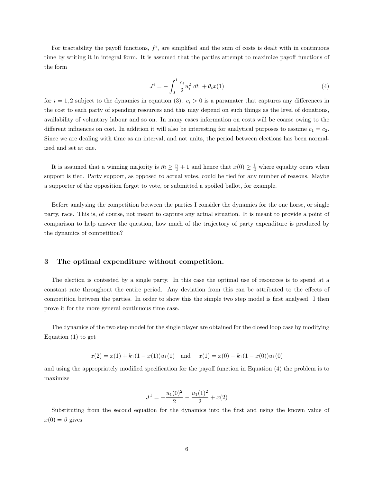For tractability the payoff functions,  $f^i$ , are simplified and the sum of costs is dealt with in continuous time by writing it in integral form. It is assumed that the parties attempt to maximize payoff functions of the form

$$
J^{i} = -\int_{0}^{1} \frac{c_{i}}{2} u_{i}^{2} dt + \theta_{i} x(1)
$$
\n(4)

for  $i = 1, 2$  subject to the dynamics in equation (3).  $c_i > 0$  is a paramater that captures any differences in the cost to each party of spending resources and this may depend on such things as the level of donations, availability of voluntary labour and so on. In many cases information on costs will be coarse owing to the different influences on cost. In addition it will also be interesting for analytical purposes to assume  $c_1 = c_2$ . Since we are dealing with time as an interval, and not units, the period between elections has been normalized and set at one.

It is assumed that a winning majority is  $\bar{m} \geq \frac{n}{2} + 1$  and hence that  $x(0) \geq \frac{1}{2}$  where equality ocurs when support is tied. Party support, as opposed to actual votes, could be tied for any number of reasons. Maybe a supporter of the opposition forgot to vote, or submitted a spoiled ballot, for example.

Before analysing the competition between the parties I consider the dynamics for the one horse, or single party, race. This is, of course, not meant to capture any actual situation. It is meant to provide a point of comparison to help answer the question, how much of the trajectory of party expenditure is produced by the dynamics of competition?

#### 3 The optimal expenditure without competition.

The election is contested by a single party. In this case the optimal use of resources is to spend at a constant rate throughout the entire period. Any deviation from this can be attributed to the effects of competition between the parties. In order to show this the simple two step model is first analysed. I then prove it for the more general continuous time case.

The dynamics of the two step model for the single player are obtained for the closed loop case by modifying Equation (1) to get

$$
x(2) = x(1) + k_1(1 - x(1))u_1(1)
$$
 and  $x(1) = x(0) + k_1(1 - x(0))u_1(0)$ 

and using the appropriately modified specification for the payoff function in Equation (4) the problem is to maximize

$$
J^{1} = -\frac{u_{1}(0)^{2}}{2} - \frac{u_{1}(1)^{2}}{2} + x(2)
$$

Substituting from the second equation for the dynamics into the first and using the known value of  $x(0) = \beta$  gives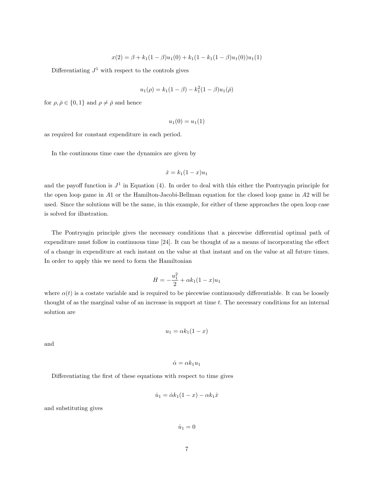$$
x(2) = \beta + k_1(1 - \beta)u_1(0) + k_1(1 - k_1(1 - \beta)u_1(0))u_1(1)
$$

Differentiating  $J^1$  with respect to the controls gives

$$
u_1(\rho) = k_1(1 - \beta) - k_1^2(1 - \beta)u_1(\bar{\rho})
$$

for  $\rho, \bar{\rho} \in \{0, 1\}$  and  $\rho \neq \bar{\rho}$  and hence

$$
u_1(0) = u_1(1)
$$

as required for constant expenditure in each period.

In the continuous time case the dynamics are given by

$$
\dot{x} = k_1(1-x)u_1
$$

and the payoff function is  $J^1$  in Equation (4). In order to deal with this either the Pontryagin principle for the open loop game in A1 or the Hamilton-Jacobi-Bellman equation for the closed loop game in A2 will be used. Since the solutions will be the same, in this example, for either of these approaches the open loop case is solved for illustration.

The Pontryagin principle gives the necessary conditions that a piecewise differential optimal path of expenditure must follow in continuous time [24]. It can be thought of as a means of incorporating the effect of a change in expenditure at each instant on the value at that instant and on the value at all future times. In order to apply this we need to form the Hamiltonian

$$
H = -\frac{u_1^2}{2} + \alpha k_1 (1 - x) u_1
$$

where  $\alpha(t)$  is a costate variable and is required to be piecewise continuously differentiable. It can be loosely thought of as the marginal value of an increase in support at time t. The necessary conditions for an internal solution are

$$
u_1 = \alpha k_1 (1 - x)
$$

and

$$
\dot{\alpha} = \alpha k_1 u_1
$$

Differentiating the first of these equations with respect to time gives

$$
\dot{u}_1 = \dot{\alpha} k_1 (1 - x) - \alpha k_1 \dot{x}
$$

and substituting gives

 $\dot{u}_1 = 0$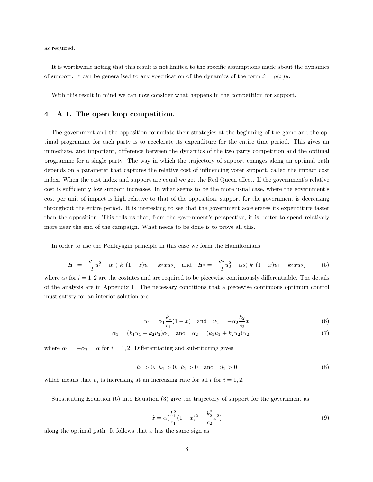as required.

It is worthwhile noting that this result is not limited to the specific assumptions made about the dynamics of support. It can be generalised to any specification of the dynamics of the form  $\dot{x} = g(x)u$ .

With this result in mind we can now consider what happens in the competition for support.

#### 4 A 1. The open loop competition.

The government and the opposition formulate their strategies at the beginning of the game and the optimal programme for each party is to accelerate its expenditure for the entire time period. This gives an immediate, and important, difference between the dynamics of the two party competition and the optimal programme for a single party. The way in which the trajectory of support changes along an optimal path depends on a parameter that captures the relative cost of influencing voter support, called the impact cost index. When the cost index and support are equal we get the Red Queen effect. If the government's relative cost is sufficiently low support increases. In what seems to be the more usual case, where the government's cost per unit of impact is high relative to that of the opposition, support for the government is decreasing throughout the entire period. It is interesting to see that the government accelerates its expenditure faster than the opposition. This tells us that, from the government's perspective, it is better to spend relatively more near the end of the campaign. What needs to be done is to prove all this.

In order to use the Pontryagin principle in this case we form the Hamiltonians

$$
H_1 = -\frac{c_1}{2}u_1^2 + \alpha_1(k_1(1-x)u_1 - k_2xu_2) \quad \text{and} \quad H_2 = -\frac{c_2}{2}u_2^2 + \alpha_2(k_1(1-x)u_1 - k_2xu_2) \tag{5}
$$

where  $\alpha_i$  for  $i = 1, 2$  are the costates and are required to be piecewise continuously differentiable. The details of the analysis are in Appendix 1. The necessary conditions that a piecewise continuous optimum control must satisfy for an interior solution are

$$
u_1 = \alpha_1 \frac{k_1}{c_1} (1 - x)
$$
 and  $u_2 = -\alpha_2 \frac{k_2}{c_2} x$  (6)

$$
\dot{\alpha}_1 = (k_1 u_1 + k_2 u_2) \alpha_1 \quad \text{and} \quad \dot{\alpha}_2 = (k_1 u_1 + k_2 u_2) \alpha_2 \tag{7}
$$

where  $\alpha_1 = -\alpha_2 = \alpha$  for  $i = 1, 2$ . Differentiating and substituting gives

$$
\dot{u}_1 > 0, \quad \ddot{u}_1 > 0, \quad \dot{u}_2 > 0 \quad \text{and} \quad \ddot{u}_2 > 0 \tag{8}
$$

which means that  $u_i$  is increasing at an increasing rate for all t for  $i = 1, 2$ .

Substituting Equation (6) into Equation (3) give the trajectory of support for the government as

$$
\dot{x} = \alpha \left( \frac{k_1^2}{c_1} (1 - x)^2 - \frac{k_2^2}{c_2} x^2 \right) \tag{9}
$$

along the optimal path. It follows that  $\dot{x}$  has the same sign as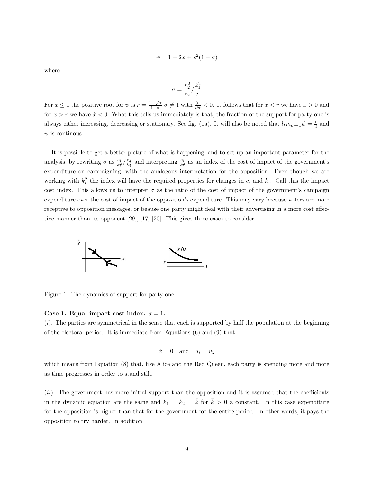$$
\psi = 1 - 2x + x^2(1 - \sigma)
$$

where

$$
\sigma=\frac{k_2^2}{c_2}/\frac{k_1^2}{c_1}
$$

For  $x \leq 1$  the positive root for  $\psi$  is  $r = \frac{1-\sqrt{\sigma}}{1-\sigma}$  $\frac{-\sqrt{\sigma}}{1-\sigma}$   $\sigma \neq 1$  with  $\frac{\partial r}{\partial \sigma} < 0$ . It follows that for  $x < r$  we have  $\dot{x} > 0$  and for  $x > r$  we have  $\dot{x} < 0$ . What this tells us immediately is that, the fraction of the support for party one is always either increasing, decreasing or stationary. See fig. (1a). It will also be noted that  $\lim_{\sigma\to 1}\psi=\frac{1}{2}$  and  $\psi$  is continuous.

It is possible to get a better picture of what is happening, and to set up an important parameter for the analysis, by rewriting  $\sigma$  as  $\frac{c_1}{k_1^2} / \frac{c_2}{k_2^2}$  and interpreting  $\frac{c_1}{k_1^2}$  as an index of the cost of impact of the government's expenditure on campaigning, with the analogous interpretation for the opposition. Even though we are working with  $k_i^2$  the index will have the required properties for changes in  $c_i$  and  $k_i$ . Call this the impact cost index. This allows us to interpret  $\sigma$  as the ratio of the cost of impact of the government's campaign expenditure over the cost of impact of the opposition's expenditure. This may vary because voters are more receptive to opposition messages, or beause one party might deal with their advertising in a more cost effective manner than its opponent [29], [17] [20]. This gives three cases to consider.



Figure 1. The dynamics of support for party one.

#### Case 1. Equal impact cost index.  $\sigma = 1$ .

 $(i)$ . The parties are symmetrical in the sense that each is supported by half the population at the beginning of the electoral period. It is immediate from Equations (6) and (9) that

$$
\dot{x} = 0 \quad \text{and} \quad u_i = u_2
$$

which means from Equation (8) that, like Alice and the Red Queen, each party is spending more and more as time progresses in order to stand still.

(ii). The government has more initial support than the opposition and it is assumed that the coefficients in the dynamic equation are the same and  $k_1 = k_2 = \overline{k}$  for  $\overline{k} > 0$  a constant. In this case expenditure for the opposition is higher than that for the government for the entire period. In other words, it pays the opposition to try harder. In addition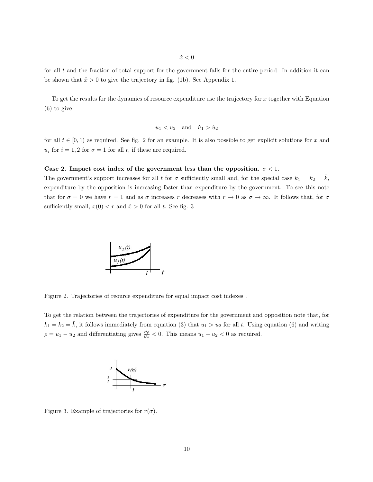for all  $t$  and the fraction of total support for the government falls for the entire period. In addition it can be shown that  $\ddot{x} > 0$  to give the trajectory in fig. (1b). See Appendix 1.

To get the results for the dynamics of resource expenditure use the trajectory for x together with Equation (6) to give

$$
u_1 < u_2 \quad \text{and} \quad \dot{u}_1 > \dot{u}_2
$$

for all  $t \in [0, 1)$  as required. See fig. 2 for an example. It is also possible to get explicit solutions for x and  $u_i$  for  $i = 1, 2$  for  $\sigma = 1$  for all t, if these are required.

#### Case 2. Impact cost index of the government less than the opposition.  $\sigma < 1$ .

The government's support increases for all t for  $\sigma$  sufficiently small and, for the special case  $k_1 = k_2 = k$ , expenditure by the opposition is increasing faster than expenditure by the government. To see this note that for  $\sigma = 0$  we have  $r = 1$  and as  $\sigma$  increases r decreases with  $r \to 0$  as  $\sigma \to \infty$ . It follows that, for  $\sigma$ sufficiently small,  $x(0) < r$  and  $\dot{x} > 0$  for all t. See fig. 3



Figure 2. Trajectories of reource expenditure for equal impact cost indexes .

To get the relation between the trajectories of expenditure for the government and opposition note that, for  $k_1 = k_2 = \bar{k}$ , it follows immediately from equation (3) that  $u_1 > u_2$  for all t. Using equation (6) and writing  $\rho = u_1 - u_2$  and differentiating gives  $\frac{\partial \rho}{\partial x} < 0$ . This means  $u_1 - u_2 < 0$  as required.



Figure 3. Example of trajectories for  $r(\sigma)$ .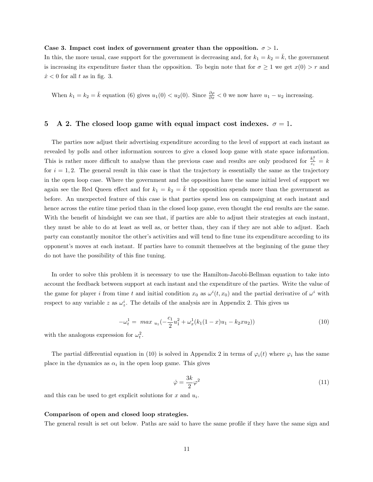#### Case 3. Impact cost index of government greater than the opposition.  $\sigma > 1$ .

In this, the more usual, case support for the government is decreasing and, for  $k_1 = k_2 = \overline{k}$ , the government is increasing its expenditure faster than the opposition. To begin note that for  $\sigma \geq 1$  we get  $x(0) > r$  and  $\dot{x}$  < 0 for all t as in fig. 3.

When  $k_1 = k_2 = \bar{k}$  equation (6) gives  $u_1(0) < u_2(0)$ . Since  $\frac{\partial \rho}{\partial x} < 0$  we now have  $u_1 - u_2$  increasing.

#### 5 A 2. The closed loop game with equal impact cost indexes.  $\sigma = 1$ .

The parties now adjust their advertising expenditure according to the level of support at each instant as revealed by polls and other information sources to give a closed loop game with state space information. This is rather more difficult to analyse than the previous case and results are only produced for  $\frac{k_i^2}{c_i} = k$ for  $i = 1, 2$ . The general result in this case is that the trajectory is essentially the same as the trajectory in the open loop case. Where the government and the opposition have the same initial level of support we again see the Red Queen effect and for  $k_1 = k_2 = k$  the opposition spends more than the government as before. An unexpected feature of this case is that parties spend less on campaigning at each instant and hence across the entire time period than in the closed loop game, even thought the end results are the same. With the benefit of hindsight we can see that, if parties are able to adjust their strategies at each instant, they must be able to do at least as well as, or better than, they can if they are not able to adjust. Each party can constantly monitor the other's activities and will tend to fine tune its expenditure according to its opponent's moves at each instant. If parties have to commit themselves at the beginning of the game they do not have the possibility of this fine tuning.

In order to solve this problem it is necessary to use the Hamilton-Jacobi-Bellman equation to take into account the feedback between support at each instant and the expenditure of the parties. Write the value of the game for player i from time t and initial condition  $x_0$  as  $\omega^i(t, x_0)$  and the partial derivative of  $\omega^i$  with respect to any variable z as  $\omega_z^i$ . The details of the analysis are in Appendix 2. This gives us

$$
-\omega_t^1 = \max_{u_1} \left( -\frac{c_1}{2} u_1^2 + \omega_x^1 (k_1 (1 - x) u_1 - k_2 x u_2) \right) \tag{10}
$$

with the analogous expression for  $\omega_t^2$ .

The partial differential equation in (10) is solved in Appendix 2 in terms of  $\varphi_i(t)$  where  $\varphi_i$  has the same place in the dynamics as  $\alpha_i$  in the open loop game. This gives

$$
\dot{\varphi} = \frac{3k}{2}\varphi^2\tag{11}
$$

and this can be used to get explicit solutions for  $x$  and  $u_i$ .

#### Comparison of open and closed loop strategies.

The general result is set out below. Paths are said to have the same profile if they have the same sign and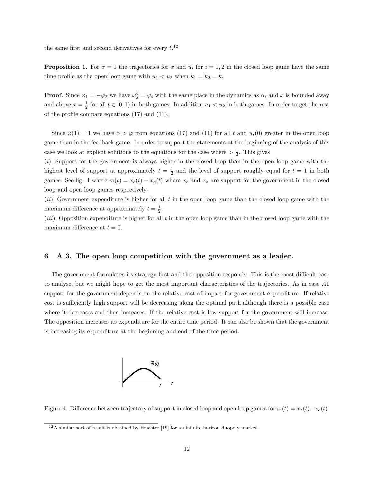the same first and second derivatives for every  $t$ <sup>12</sup>

**Proposition 1.** For  $\sigma = 1$  the trajectories for x and  $u_i$  for  $i = 1, 2$  in the closed loop game have the same time profile as the open loop game with  $u_1 < u_2$  when  $k_1 = k_2 = \overline{k}$ .

**Proof.** Since  $\varphi_1 = -\varphi_2$  we have  $\omega_x^i = \varphi_i$  with the same place in the dynamics as  $\alpha_i$  and x is bounded away and above  $x = \frac{1}{2}$  for all  $t \in [0, 1)$  in both games. In addition  $u_1 < u_2$  in both games. In order to get the rest of the profile compare equations (17) and (11).

Since  $\varphi(1) = 1$  we have  $\alpha > \varphi$  from equations (17) and (11) for all t and  $u_i(0)$  greater in the open loop game than in the feedback game. In order to support the statements at the beginning of the analysis of this case we look at explicit solutions to the equations for the case where  $\geq \frac{1}{2}$ . This gives

(i). Support for the government is always higher in the closed loop than in the open loop game with the highest level of support at approximately  $t = \frac{1}{2}$  and the level of support roughly equal for  $t = 1$  in both games. See fig. 4 where  $\varpi(t) = x_c(t) - x_o(t)$  where  $x_c$  and  $x_o$  are support for the government in the closed loop and open loop games respectively.

 $(ii)$ . Government expenditure is higher for all t in the open loop game than the closed loop game with the maximum difference at approximately  $t = \frac{1}{2}$ .

 $(iii)$ . Opposition expenditure is higher for all t in the open loop game than in the closed loop game with the maximum difference at  $t = 0$ .

#### 6 A 3. The open loop competition with the government as a leader.

The government formulates its strategy first and the opposition responds. This is the most difficult case to analyse, but we might hope to get the most important characteristics of the trajectories. As in case A1 support for the government depends on the relative cost of impact for government expenditure. If relative cost is sufficiently high support will be decreasing along the optimal path although there is a possible case where it decreases and then increases. If the relative cost is low support for the government will increase. The opposition increases its expenditure for the entire time period. It can also be shown that the government is increasing its expenditure at the beginning and end of the time period.



Figure 4. Difference between trajectory of support in closed loop and open loop games for  $\varpi(t) = x_c(t) - x_o(t)$ .

<sup>&</sup>lt;sup>12</sup>A similar sort of result is obtained by Fruchter [19] for an infinite horizon duopoly market.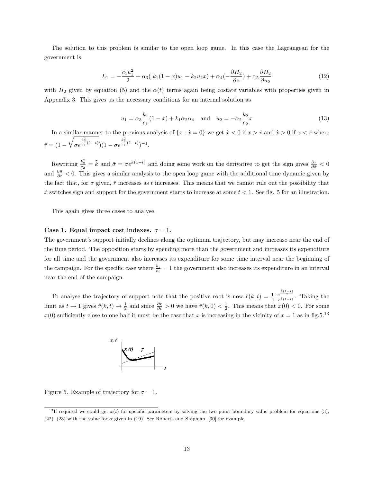The solution to this problem is similar to the open loop game. In this case the Lagrangean for the government is

$$
L_1 = -\frac{c_1 u_1^2}{2} + \alpha_3 (k_1 (1 - x) u_1 - k_2 u_2 x) + \alpha_4 (-\frac{\partial H_2}{\partial x}) + \alpha_5 \frac{\partial H_2}{\partial u_2}
$$
(12)

with  $H_2$  given by equation (5) and the  $\alpha(t)$  terms again being costate variables with properties given in Appendix 3. This gives us the necessary conditions for an internal solution as

$$
u_1 = \alpha_3 \frac{k_1}{c_1} (1 - x) + k_1 \alpha_2 \alpha_4 \quad \text{and} \quad u_2 = -\alpha_2 \frac{k_2}{c_2} x \tag{13}
$$

In a similar manner to the previous analysis of  $\{x : x = 0\}$  we get  $\dot{x} < 0$  if  $x > \bar{r}$  and  $\dot{x} > 0$  if  $x < \bar{r}$  where  $\bar{r}=(1 \frac{1}{2}$ σe  $\frac{k_2^2}{c_2}(1-t)}(1-\sigma e^{\frac{k_2^2}{c_2}(1-t)})^{-1}.$ 

Rewriting  $\frac{k_2^2}{c_2} = \tilde{k}$  and  $\bar{\sigma} = \sigma e^{\tilde{k}(1-t)}$  and doing some work on the derivative to get the sign gives  $\frac{\partial r}{\partial \bar{\sigma}} < 0$ and  $\frac{\partial \bar{\sigma}}{\partial t}$  < 0. This gives a similar analysis to the open loop game with the additional time dynamic given by the fact that, for  $\sigma$  given,  $\bar{r}$  increases as t increases. This means that we cannot rule out the possibility that  $\dot{x}$  switches sign and support for the government starts to increase at some  $t < 1$ . See fig. 5 for an illustration.

This again gives three cases to analyse.

#### Case 1. Equal impact cost indexes.  $\sigma = 1$ .

The government's support initially declines along the optimum trajectory, but may increase near the end of the time period. The opposition starts by spending more than the government and increases its expenditure for all time and the government also increases its expenditure for some time interval near the beginning of the campaign. For the specific case where  $\frac{k_i}{c_i} = 1$  the government also increases its expenditure in an interval near the end of the campaign.

To analyse the trajectory of support note that the positive root is now  $\bar{r}(k,t) = \frac{1-e^{\bar{k}(1-t)}}{1-e^{\bar{k}(1-t)}}$ . Taking the limit as  $t \to 1$  gives  $\bar{r}(k,t) \to \frac{1}{2}$  and since  $\frac{\partial \bar{r}}{\partial t} > 0$  we have  $\bar{r}(k,0) < \frac{1}{2}$ . This means that  $\dot{x}(0) < 0$ . For some  $x(0)$  sufficiently close to one half it must be the case that x is increasing in the vicinity of  $x = 1$  as in fig.5.<sup>13</sup>



Figure 5. Example of trajectory for  $\sigma = 1$ .

<sup>&</sup>lt;sup>13</sup>If required we could get  $x(t)$  for specific parameters by solving the two point boundary value problem for equations (3), (22), (23) with the value for  $\alpha$  given in (19). See Roberts and Shipman, [30] for example.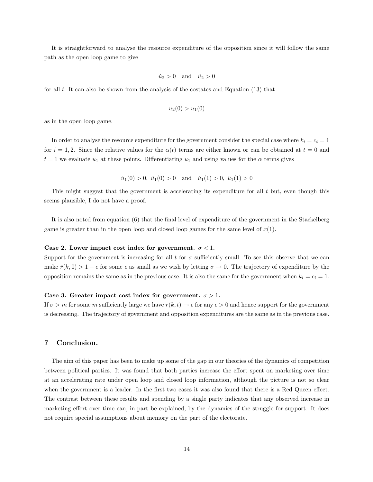It is straightforward to analyse the resource expenditure of the opposition since it will follow the same path as the open loop game to give

$$
\dot{u}_2 > 0 \quad \text{and} \quad \ddot{u}_2 > 0
$$

for all  $t$ . It can also be shown from the analysis of the costates and Equation  $(13)$  that

$$
u_2(0) > u_1(0)
$$

as in the open loop game.

In order to analyse the resource expenditure for the government consider the special case where  $k_i = c_i = 1$ for  $i = 1, 2$ . Since the relative values for the  $\alpha(t)$  terms are either known or can be obtained at  $t = 0$  and  $t = 1$  we evaluate  $u_1$  at these points. Differentiating  $u_1$  and using values for the  $\alpha$  terms gives

 $\dot{u}_1(0) > 0$ ,  $\ddot{u}_1(0) > 0$  and  $\dot{u}_1(1) > 0$ ,  $\ddot{u}_1(1) > 0$ 

This might suggest that the government is accelerating its expenditure for all  $t$  but, even though this seems plausible, I do not have a proof.

It is also noted from equation (6) that the final level of expenditure of the government in the Stackelberg game is greater than in the open loop and closed loop games for the same level of  $x(1)$ .

#### Case 2. Lower impact cost index for government.  $\sigma$  < 1.

Support for the government is increasing for all t for  $\sigma$  sufficiently small. To see this observe that we can make  $\bar{r}(k,0) > 1 - \epsilon$  for some  $\epsilon$  as small as we wish by letting  $\sigma \to 0$ . The trajectory of expenditure by the opposition remains the same as in the previous case. It is also the same for the government when  $k_i = c_i = 1$ .

#### Case 3. Greater impact cost index for government.  $\sigma > 1$ .

If  $\sigma > m$  for some m sufficiently large we have  $r(k, t) \to \epsilon$  for any  $\epsilon > 0$  and hence support for the government is decreasing. The trajectory of government and opposition expenditures are the same as in the previous case.

#### 7 Conclusion.

The aim of this paper has been to make up some of the gap in our theories of the dynamics of competition between political parties. It was found that both parties increase the effort spent on marketing over time at an accelerating rate under open loop and closed loop information, although the picture is not so clear when the government is a leader. In the first two cases it was also found that there is a Red Queen effect. The contrast between these results and spending by a single party indicates that any observed increase in marketing effort over time can, in part be explained, by the dynamics of the struggle for support. It does not require special assumptions about memory on the part of the electorate.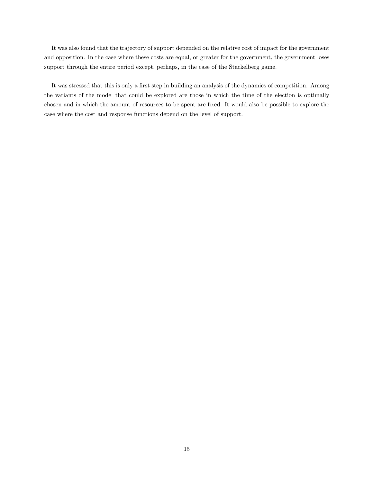It was also found that the trajectory of support depended on the relative cost of impact for the government and opposition. In the case where these costs are equal, or greater for the government, the government loses support through the entire period except, perhaps, in the case of the Stackelberg game.

It was stressed that this is only a first step in building an analysis of the dynamics of competition. Among the variants of the model that could be explored are those in which the time of the election is optimally chosen and in which the amount of resources to be spent are fixed. It would also be possible to explore the case where the cost and response functions depend on the level of support.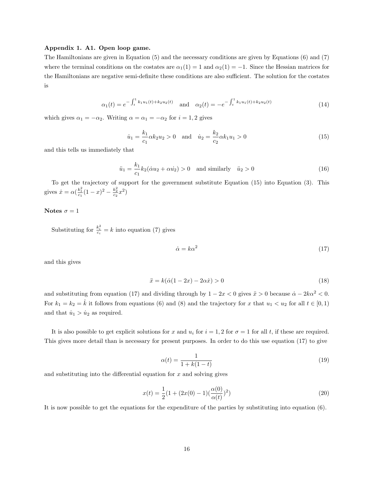#### Appendix 1. A1. Open loop game.

The Hamiltonians are given in Equation (5) and the necessary conditions are given by Equations (6) and (7) where the terminal conditions on the costates are  $\alpha_1(1) = 1$  and  $\alpha_2(1) = -1$ . Since the Hessian matrices for the Hamiltonians are negative semi-definite these conditions are also sufficient. The solution for the costates is

$$
\alpha_1(t) = e^{-\int_t^1 k_1 u_1(t) + k_2 u_2(t)} \quad \text{and} \quad \alpha_2(t) = -e^{-\int_t^1 k_1 u_1(t) + k_2 u_2(t)} \tag{14}
$$

which gives  $\alpha_1 = -\alpha_2$ . Writing  $\alpha = \alpha_1 = -\alpha_2$  for  $i = 1, 2$  gives

$$
\dot{u}_1 = \frac{k_1}{c_1} \alpha k_2 u_2 > 0 \quad \text{and} \quad \dot{u}_2 = \frac{k_2}{c_2} \alpha k_1 u_1 > 0 \tag{15}
$$

and this tells us immediately that

$$
\ddot{u}_1 = \frac{k_1}{c_1} k_2 (\dot{\alpha} u_2 + \alpha u_2) > 0 \quad \text{and similarly} \quad \ddot{u}_2 > 0 \tag{16}
$$

To get the trajectory of support for the government substitute Equation (15) into Equation (3). This gives  $\dot{x} = \alpha \left( \frac{k_1^2}{c_1} (1 - x)^2 - \frac{k_2^2}{c_2} x^2 \right)$ 

#### Notes  $\sigma = 1$

Substituting for  $\frac{k_i^2}{c_i} = k$  into equation (7) gives

$$
\dot{\alpha} = k\alpha^2 \tag{17}
$$

and this gives

$$
\ddot{x} = k(\dot{\alpha}(1 - 2x) - 2\alpha \dot{x}) > 0 \tag{18}
$$

and substituting from equation (17) and dividing through by  $1 - 2x < 0$  gives  $\ddot{x} > 0$  because  $\dot{\alpha} - 2k\alpha^2 < 0$ . For  $k_1 = k_2 = \hat{k}$  it follows from equations (6) and (8) and the trajectory for x that  $u_1 < u_2$  for all  $t \in [0,1)$ and that  $\dot{u}_1 > \dot{u}_2$  as required.

It is also possible to get explicit solutions for x and  $u_i$  for  $i = 1, 2$  for  $\sigma = 1$  for all t, if these are required. This gives more detail than is necessary for present purposes. In order to do this use equation (17) to give

$$
\alpha(t) = \frac{1}{1 + k(1 - t)}
$$
\n(19)

and substituting into the differential equation for  $x$  and solving gives

$$
x(t) = \frac{1}{2}(1 + (2x(0) - 1)(\frac{\alpha(0)}{\alpha(t)})^2)
$$
\n(20)

It is now possible to get the equations for the expenditure of the parties by substituting into equation (6).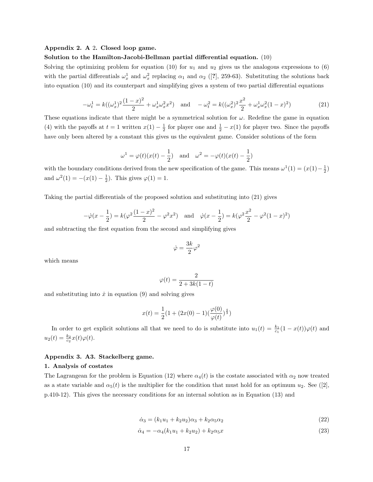#### Appendix 2. A 2. Closed loop game.

#### Solution to the Hamilton-Jacobi-Bellman partial differential equation. (10)

Solving the optimizing problem for equation (10) for  $u_1$  and  $u_2$  gives us the analogous expressions to (6) with the partial differentials  $\omega_x^1$  and  $\omega_x^2$  replacing  $\alpha_1$  and  $\alpha_2$  ([?], 259-63). Substituting the solutions back into equation (10) and its counterpart and simplifying gives a system of two partial differential equations

$$
-\omega_t^1 = k((\omega_x^1)^2 \frac{(1-x)^2}{2} + \omega_x^1 \omega_x^2 x^2) \quad \text{and} \quad -\omega_t^2 = k((\omega_x^2)^2 \frac{x^2}{2} + \omega_x^1 \omega_x^2 (1-x)^2)
$$
 (21)

These equations indicate that there might be a symmetrical solution for  $\omega$ . Redefine the game in equation (4) with the payoffs at  $t = 1$  written  $x(1) - \frac{1}{2}$  for player one and  $\frac{1}{2} - x(1)$  for player two. Since the payoffs have only been altered by a constant this gives us the equivalent game. Consider solutions of the form

$$
\omega^1 = \varphi(t)(x(t) - \frac{1}{2})
$$
 and  $\omega^2 = -\varphi(t)(x(t) - \frac{1}{2})$ 

with the boundary conditions derived from the new specification of the game. This means  $\omega^1(1) = (x(1) - \frac{1}{2})$ and  $\omega^2(1) = -(x(1) - \frac{1}{2})$ . This gives  $\varphi(1) = 1$ .

Taking the partial differentials of the proposed solution and substituting into (21) gives

$$
-\dot{\varphi}(x-\frac{1}{2}) = k(\varphi^2 \frac{(1-x)^2}{2} - \varphi^2 x^2) \text{ and } \dot{\varphi}(x-\frac{1}{2}) = k(\varphi^2 \frac{x^2}{2} - \varphi^2 (1-x)^2)
$$

and subtracting the first equation from the second and simplifying gives

$$
\dot{\varphi}=\frac{3k}{2}\varphi^2
$$

which means

$$
\varphi(t) = \frac{2}{2 + 3k(1 - t)}
$$

and substituting into  $\dot{x}$  in equation (9) and solving gives

$$
x(t) = \frac{1}{2}(1 + (2x(0) - 1)(\frac{\varphi(0)}{\varphi(t)})^{\frac{4}{3}})
$$

In order to get explicit solutions all that we need to do is substitute into  $u_1(t) = \frac{k_1}{c_1}(1-x(t))\varphi(t)$  and  $u_2(t) = \frac{k_2}{c_2}x(t)\varphi(t).$ 

#### Appendix 3. A3. Stackelberg game.

#### 1. Analysis of costates

The Lagrangean for the problem is Equation (12) where  $\alpha_4(t)$  is the costate associated with  $\alpha_2$  now treated as a state variable and  $\alpha_5(t)$  is the multiplier for the condition that must hold for an optimum  $u_2$ . See ([2], p.410-12). This gives the necessary conditions for an internal solution as in Equation (13) and

$$
\dot{\alpha}_3 = (k_1 u_1 + k_2 u_2) \alpha_3 + k_2 \alpha_5 \alpha_2 \tag{22}
$$

$$
\dot{\alpha}_4 = -\alpha_4 (k_1 u_1 + k_2 u_2) + k_2 \alpha_5 x \tag{23}
$$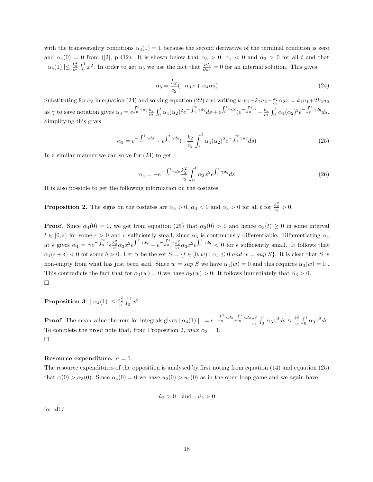with the transversality conditions  $\alpha_3(1) = 1$  because the second derivative of the terminal condition is zero and  $\alpha_4(0) = 0$  from ([2], p.412). It is shown below that  $\alpha_3 > 0$ ,  $\alpha_4 < 0$  and  $\dot{\alpha}_3 > 0$  for all t and that  $\vert \alpha_4(1) \vert \leq \frac{k_2^2}{c_2} \int_0^1 x^2$ . In order to get  $\alpha_5$  we use the fact that  $\frac{\partial L}{\partial u_2} = 0$  for an internal solution. This gives

$$
\alpha_5 = \frac{k_2}{c_2}(-\alpha_3 x + \alpha_4 \alpha_2) \tag{24}
$$

Substituting for  $\alpha_5$  in equation (24) and solving equation (22) and writing  $k_1u_1+k_2u_2-\frac{k_2}{c_2}\alpha_2x=k_1u_1+2k_2u_2$ as  $\gamma$  to save notation gives  $\alpha_3 = e^{\int_0^t \gamma dq} \frac{k_2}{c_2} \int_0^t \alpha_4(\alpha_2)^2 e^{-\int_0^s \gamma dq} ds + e^{\int_0^t \gamma ds} (e^{-\int_0^1 \gamma} - \frac{k_2}{c_2} \int_0^1 \alpha_4(\alpha_2)^2 e^{-\int_0^s \gamma dq} ds.$ Simplifying this gives

$$
\alpha_3 = e^{-\int_t^1 \gamma ds} + e^{\int_0^t \gamma ds} \left(-\frac{k_2}{c_2} \int_t^1 \alpha_4(\alpha_2)^2 e^{-\int_0^s \gamma ds} ds\right) \tag{25}
$$

In a similar manner we can solve for (23) to get

$$
\alpha_4 = -e^{-\int_0^t \gamma ds} \frac{k_2^2}{c_2} \int_0^t \alpha_3 x^2 e^{\int_0^s \gamma dq} ds \tag{26}
$$

It is also possible to get the following information on the costates.

**Proposition 2.** The signs on the costates are  $\alpha_3 > 0$ ,  $\alpha_4 < 0$  and  $\alpha_3 > 0$  for all t for  $\frac{k_2^2}{c_2} > 0$ .

**Proof.** Since  $\alpha_4(0) = 0$ , we get from equation (25) that  $\alpha_3(0) > 0$  and hence  $\alpha_3(t) \ge 0$  in some interval  $t \in [0, \epsilon)$  for some  $\epsilon > 0$  and  $\epsilon$  sufficiently small, since  $\alpha_3$  is continuously differentiable. Differentiating  $\alpha_4$ at  $\epsilon$  gives  $\dot{\alpha}_4 = \gamma e^{-\int_0^{\epsilon} \gamma} \epsilon \frac{k_2^2}{c_2 \alpha_3 x^2} e^{\int_0^s \gamma dq} - e^{-\int_0^{\epsilon} \gamma} \frac{k_2^2}{c_2 \alpha_3 x^2} e^{\int_0^s \gamma dq} < 0$  for  $\epsilon$  sufficiently small. It follows that  $\alpha_4(\epsilon+\delta) < 0$  for some  $\delta > 0$ . Let S be the set  $S = \{t \in [0, w) : \alpha_4 \leq 0 \text{ and } w = \sup S\}$ . It is clear that S is non-empty from what has just been said. Since  $w = \sup S$  we have  $\alpha_4(w) = 0$  and this requires  $\alpha_3(w) = 0$ . This contradicts the fact that for  $\alpha_4(w) = 0$  we have  $\alpha_3(w) > 0$ . It follows immediately that  $\alpha_3 > 0$ .  $\Box$ 

 $\textbf{Proposition 3.} \mid \alpha_4(1) \mid \leq \frac{k_2^2}{c_2} \int_0^1 x^2.$ 

**Proof.** The mean value theorem for integrals gives  $| \alpha_4(1) | = e^{-\int_0^1 \gamma ds} e^{\int_0^s \gamma ds} \frac{k_2^2}{c_2} \int_0^1 \alpha_3 x^2 ds \leq \frac{k_2^2}{c_2} \int_0^1 \alpha_3 x^2 ds$ . To complete the proof note that, from Proposition 2,  $max \alpha_3 = 1$ .  $\Box$ 

#### Resource expenditure.  $\sigma = 1$ .

The resource expenditures of the opposition is analysed by first noting from equation (14) and equation (25) that  $\alpha(0) > \alpha_3(0)$ . Since  $\alpha_4(0) = 0$  we have  $u_2(0) > u_1(0)$  as in the open loop game and we again have

$$
\dot{u}_2 > 0 \quad \text{and} \quad \ddot{u}_2 > 0
$$

for all  $t$ .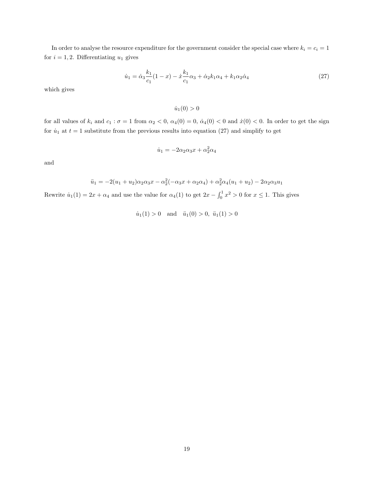In order to analyse the resource expenditure for the government consider the special case where  $k_i = c_i = 1$ for  $i = 1, 2$ . Differentiating  $u_1$  gives

$$
\dot{u}_1 = \dot{\alpha}_3 \frac{k_1}{c_1} (1 - x) - \dot{x} \frac{k_1}{c_1} \alpha_3 + \dot{\alpha}_2 k_1 \alpha_4 + k_1 \alpha_2 \dot{\alpha}_4 \tag{27}
$$

which gives

 $\dot{u}_1(0) > 0$ 

for all values of  $k_i$  and  $c_1 : \sigma = 1$  from  $\alpha_2 < 0$ ,  $\alpha_4(0) = 0$ ,  $\dot{\alpha}_4(0) < 0$  and  $\dot{x}(0) < 0$ . In order to get the sign for  $\dot{u}_1$  at  $t = 1$  substitute from the previous results into equation (27) and simplify to get

$$
\dot{u}_1 = -2\alpha_2\alpha_3 x + \alpha_2^2 \alpha_4
$$

and

$$
\ddot{u}_1 = -2(u_1 + u_2)\alpha_2\alpha_3 x - \alpha_2^2(-\alpha_3 x + \alpha_2 \alpha_4) + \alpha_2^2 \alpha_4(u_1 + u_2) - 2\alpha_2 \alpha_3 u_1
$$

Rewrite  $\dot{u}_1(1) = 2x + \alpha_4$  and use the value for  $\alpha_4(1)$  to get  $2x - \int_0^1 x^2 > 0$  for  $x \le 1$ . This gives

 $\dot{u}_1(1) > 0$  and  $\ddot{u}_1(0) > 0$ ,  $\ddot{u}_1(1) > 0$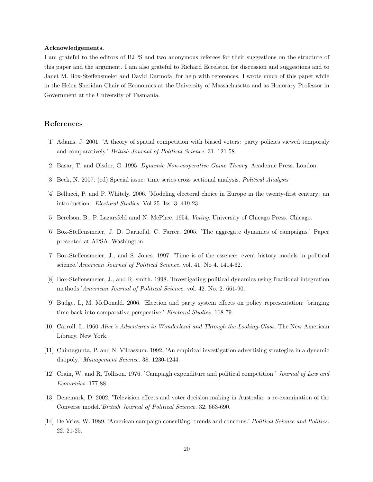#### Acknowledgements.

I am grateful to the editors of BJPS and two anonymous referees for their suggestions on the structure of this paper and the argument. I am also grateful to Richard Eccelston for discussion and suggestions and to Janet M. Box-Steffensmeier and David Darmofal for help with references. I wrote much of this paper while in the Helen Sheridan Chair of Economics at the University of Massachusetts and as Honorary Professor in Government at the University of Tasmania.

#### References

- [1] Adams. J. 2001. 'A theory of spatial competition with biased voters: party policies viewed temporaly and comparatively.' British Journal of Political Science. 31. 121-58
- [2] Basar, T. and Olsder, G. 1995. Dynamic Non-cooperative Game Theory. Academic Press. London.
- [3] Beck, N. 2007. (ed) Special issue: time series cross sectional analysis. Political Analysis
- [4] Bellucci, P. and P. Whitely. 2006. 'Modeling electoral choice in Europe in the twenty-first century: an introduction.' Electoral Studies. Vol 25. Iss. 3. 419-23
- [5] Berelson, B., P. Lazarsfeld amd N. McPhee. 1954. Voting. University of Chicago Press. Chicago.
- [6] Box-Steffensmeier, J. D. Darnofal, C. Farrer. 2005. 'The aggregate dynamics of campaigns.' Paper presented at APSA. Washington.
- [7] Box-Steffensmeier, J., and S. Jones. 1997. 'Time is of the essence: event history models in political science.'American Journal of Political Science. vol. 41. No 4. 1414-62.
- [8] Box-Steffensmeier, J., and R. smith. 1998. 'Investigating political dynamics using fractional integration methods.'American Journal of Political Science. vol. 42. No. 2. 661-90.
- [9] Budge. I., M. McDonald. 2006. 'Election and party system effects on policy representation: bringing time back into comparative perspective.' Electoral Studies. 168-79.
- [10] Carroll. L. 1960 Alice's Adventures in Wonderland and Through the Looking-Glass. The New American Library, New York.
- [11] Chintagunta, P. and N. Vilcassum. 1992. 'An empirical investigation advertising strategies in a dynamic duopoly.' Management Science. 38. 1230-1244.
- [12] Crain, W. and R. Tollison. 1976. 'Campaigh expenditure and political competition.' Journal of Law and Economics. 177-88
- [13] Denemark, D. 2002. 'Television effects and voter decision making in Australia: a re-examination of the Converse model.'British Journal of Political Science. 32. 663-690.
- [14] De Vries, W. 1989. 'American campaign consulting: trends and concerns.' Political Science and Politics. 22. 21-25.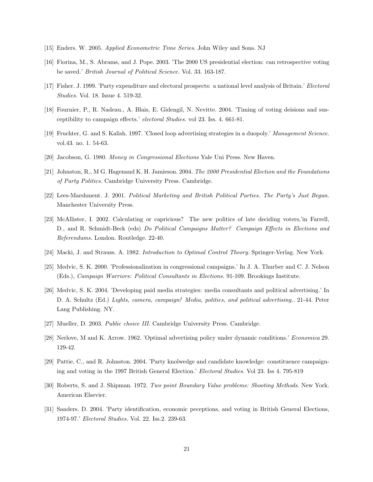- [15] Enders. W. 2005. Applied Econometric Time Series. John Wiley and Sons. NJ
- [16] Fiorina, M., S. Abrams, and J. Pope. 2003. 'The 2000 US presidential election: can retrospective voting be saved.' British Journal of Political Science. Vol. 33. 163-187.
- [17] Fisher. J. 1999. 'Party expenditure and electoral prospects: a national level analysis of Britain.' Electoral Studies. Vol. 18. Issue 4. 519-32.
- [18] Fournier, P., R. Nadeau., A. Blais, E. Gidengil, N. Nevitte. 2004. 'Timing of voting deisions and susceptibility to campaign effects.' electoral Studies. vol 23. Iss. 4. 661-81.
- [19] Fruchter, G. and S. Kalish. 1997. 'Closed loop advertising strategies in a duopoly.' Management Science. vol.43. no. 1. 54-63.
- [20] Jacobson, G. 1980. Money in Congressional Elections Yale Uni Press. New Haven.
- [21] Johnston, R., M G. Hagenand K. H. Jamieson. 2004. The 2000 Presidential Election and the Foundations of Party Politics. Cambridge University Press. Cambridge.
- [22] Lees-Marshment. J. 2001. Political Marketing and British Political Parties. The Party's Just Begun. Manchester University Press.
- [23] McAllister, I. 2002. Calculating or capricious? The new politics of late deciding voters,'in Farrell, D., and R. Schmidt-Beck (eds) Do Political Campaigns Matter? Campaign Effects in Elections and Referendums. London. Routledge. 22-40.
- [24] Macki, J. and Strauss. A. 1982. Introduction to Optimal Control Theory. Springer-Verlag. New York.
- [25] Medvic, S. K. 2000. 'Professionalization in congressional campaigns.' In J. A. Thurber and C. J. Nelson (Eds.), Campaign Warriors: Political Consultants in Elections. 91-109. Brookings Institute.
- [26] Medvic, S. K. 2004. 'Developing paid media strategies: media consultants and political advertising.' In D. A. Schultz (Ed.) Lights, camera, campaign! Media, politics, and political advertising.. 21-44. Peter Lang Publishing. NY.
- [27] Mueller, D. 2003. Public choice III. Cambridge University Press. Cambridge.
- [28] Nerlove, M and K. Arrow. 1962. 'Optimal advertising policy under dynamic conditions.' Economica 29. 129-42.
- [29] Pattie, C., and R. Johnston. 2004. 'Party knolwedge and candidate knowledge: constituence campaigning and voting in the 1997 British General Election.' Electoral Studies. Vol 23. Iss 4. 795-819
- [30] Roberts, S. and J. Shipman. 1972. Two point Boundary Value problems: Shooting Methods. New York. American Elsevier.
- [31] Sanders. D. 2004. 'Party identification, economic peceptions, and voting in British General Elections, 1974-97.' Electoral Studies. Vol. 22. Iss.2. 239-63.